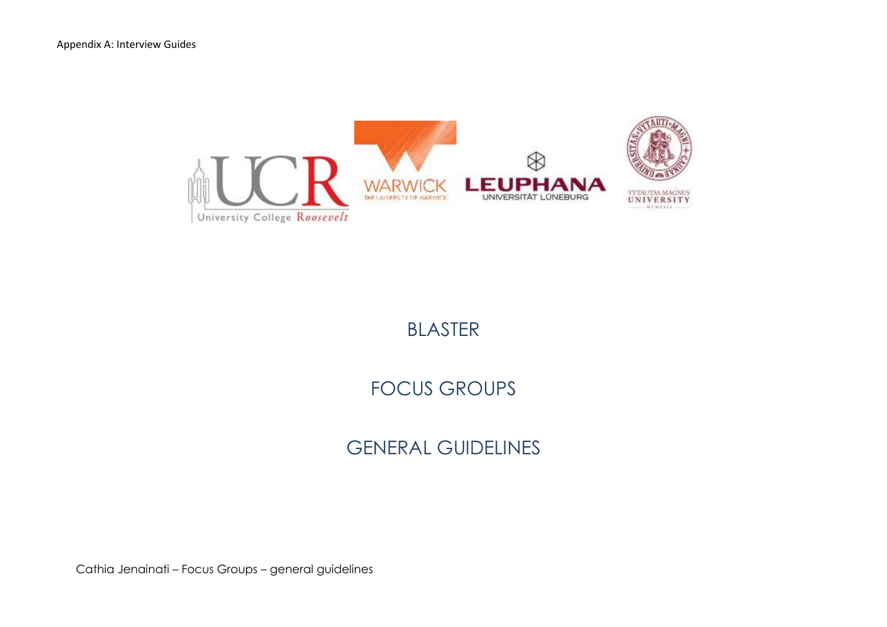

## BLASTER

# FOCUS GROUPS

# GENERAL GUIDELINES

Cathia Jenainati – Focus Groups – general guidelines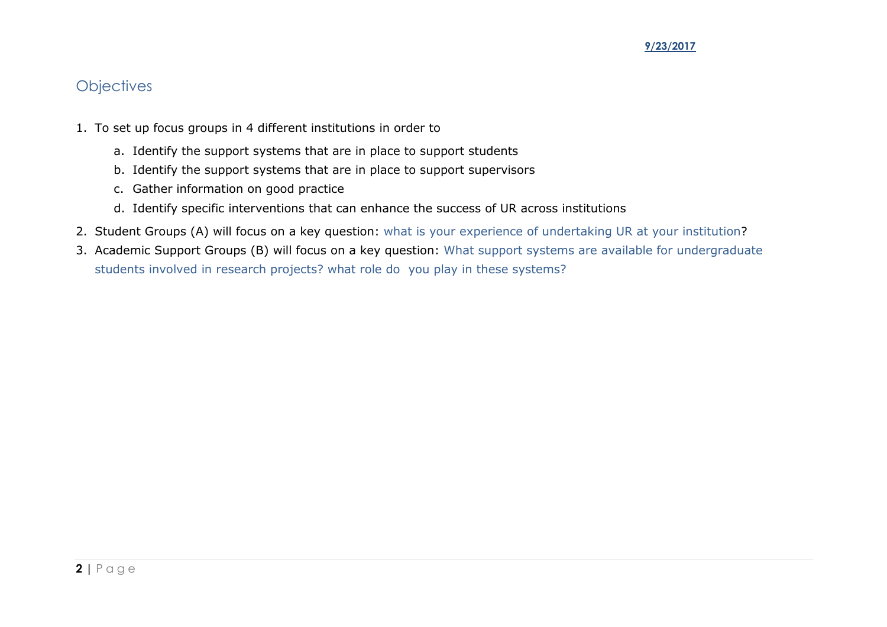### **Objectives**

- 1. To set up focus groups in 4 different institutions in order to
	- a. Identify the support systems that are in place to support students
	- b. Identify the support systems that are in place to support supervisors
	- c. Gather information on good practice
	- d. Identify specific interventions that can enhance the success of UR across institutions
- 2. Student Groups (A) will focus on a key question: what is your experience of undertaking UR at your institution?
- 3. Academic Support Groups (B) will focus on a key question: What support systems are available for undergraduate students involved in research projects? what role do you play in these systems?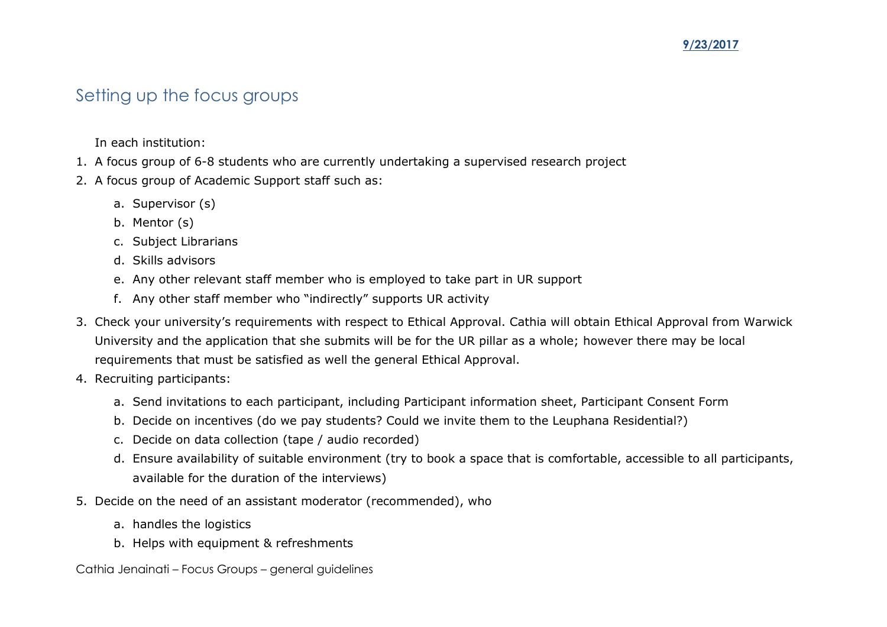### Setting up the focus groups

In each institution:

- 1. A focus group of 6-8 students who are currently undertaking a supervised research project
- 2. A focus group of Academic Support staff such as:
	- a. Supervisor (s)
	- b. Mentor (s)
	- c. Subject Librarians
	- d. Skills advisors
	- e. Any other relevant staff member who is employed to take part in UR support
	- f. Any other staff member who "indirectly" supports UR activity
- 3. Check your university's requirements with respect to Ethical Approval. Cathia will obtain Ethical Approval from Warwick University and the application that she submits will be for the UR pillar as a whole; however there may be local requirements that must be satisfied as well the general Ethical Approval.
- 4. Recruiting participants:
	- a. Send invitations to each participant, including Participant information sheet, Participant Consent Form
	- b. Decide on incentives (do we pay students? Could we invite them to the Leuphana Residential?)
	- c. Decide on data collection (tape / audio recorded)
	- d. Ensure availability of suitable environment (try to book a space that is comfortable, accessible to all participants, available for the duration of the interviews)
- 5. Decide on the need of an assistant moderator (recommended), who
	- a. handles the logistics
	- b. Helps with equipment & refreshments

Cathia Jenainati – Focus Groups – general guidelines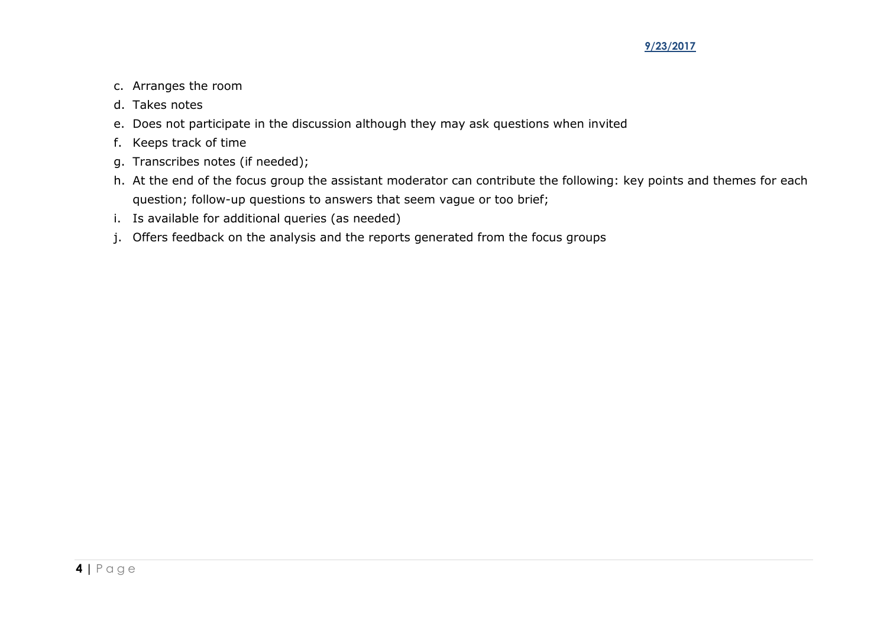- c. Arranges the room
- d. Takes notes
- e. Does not participate in the discussion although they may ask questions when invited
- f. Keeps track of time
- g. Transcribes notes (if needed);
- h. At the end of the focus group the assistant moderator can contribute the following: key points and themes for each question; follow-up questions to answers that seem vague or too brief;
- i. Is available for additional queries (as needed)
- j. Offers feedback on the analysis and the reports generated from the focus groups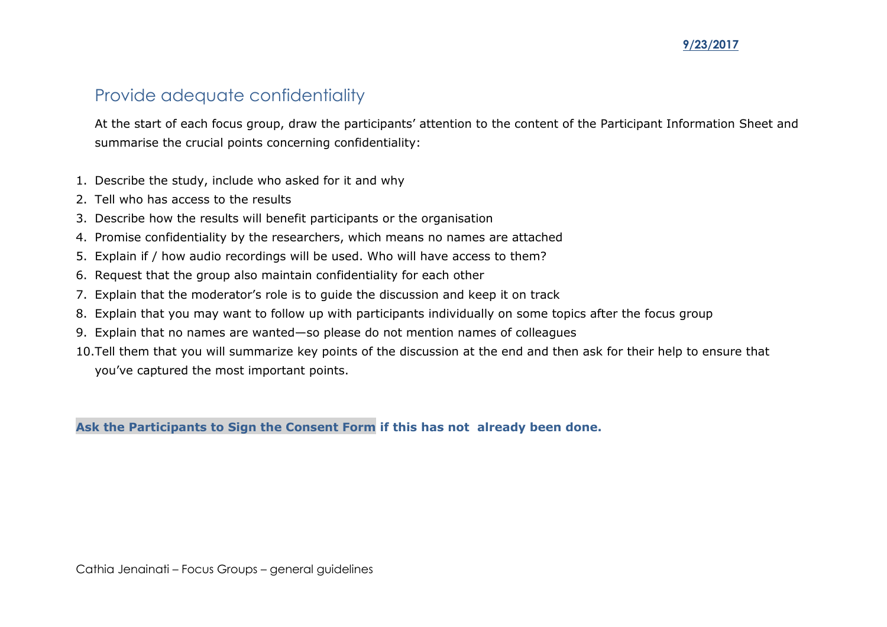### Provide adequate confidentiality

At the start of each focus group, draw the participants' attention to the content of the Participant Information Sheet and summarise the crucial points concerning confidentiality:

- 1. Describe the study, include who asked for it and why
- 2. Tell who has access to the results
- 3. Describe how the results will benefit participants or the organisation
- 4. Promise confidentiality by the researchers, which means no names are attached
- 5. Explain if / how audio recordings will be used. Who will have access to them?
- 6. Request that the group also maintain confidentiality for each other
- 7. Explain that the moderator's role is to guide the discussion and keep it on track
- 8. Explain that you may want to follow up with participants individually on some topics after the focus group
- 9. Explain that no names are wanted—so please do not mention names of colleagues
- 10.Tell them that you will summarize key points of the discussion at the end and then ask for their help to ensure that you've captured the most important points.

**Ask the Participants to Sign the Consent Form if this has not already been done.**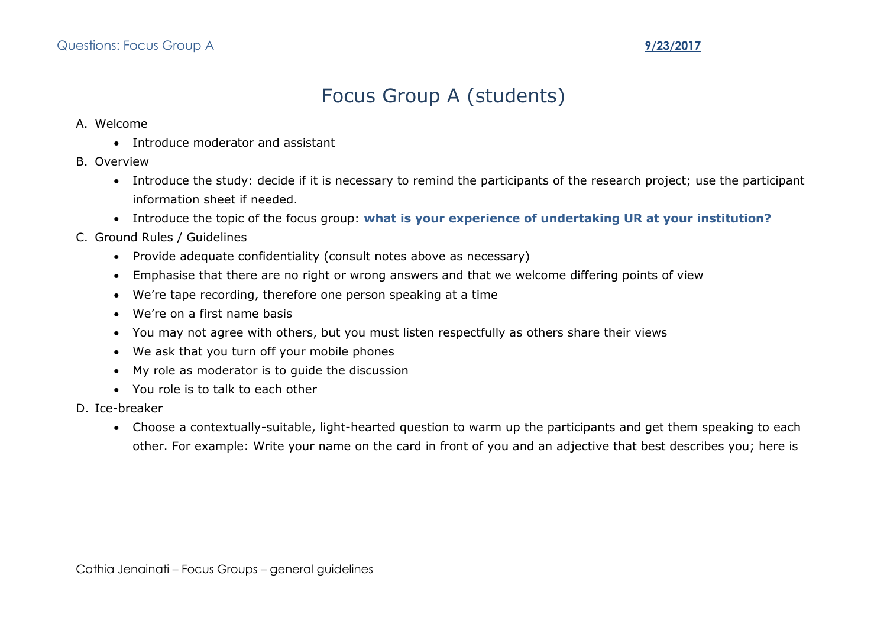# Focus Group A (students)

#### A. Welcome

- Introduce moderator and assistant
- B. Overview
	- Introduce the study: decide if it is necessary to remind the participants of the research project; use the participant information sheet if needed.
	- Introduce the topic of the focus group: **what is your experience of undertaking UR at your institution?**
- C. Ground Rules / Guidelines
	- Provide adequate confidentiality (consult notes above as necessary)
	- Emphasise that there are no right or wrong answers and that we welcome differing points of view
	- We're tape recording, therefore one person speaking at a time
	- We're on a first name basis
	- You may not agree with others, but you must listen respectfully as others share their views
	- We ask that you turn off your mobile phones
	- My role as moderator is to guide the discussion
	- You role is to talk to each other
- D. Ice-breaker
	- Choose a contextually-suitable, light-hearted question to warm up the participants and get them speaking to each other. For example: Write your name on the card in front of you and an adjective that best describes you; here is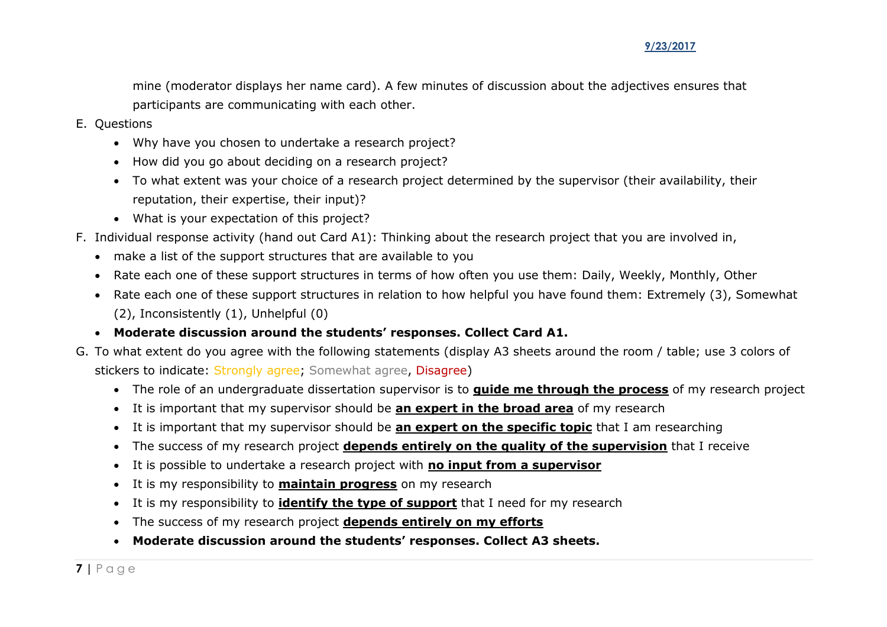mine (moderator displays her name card). A few minutes of discussion about the adjectives ensures that participants are communicating with each other.

- E. Questions
	- Why have you chosen to undertake a research project?
	- How did you go about deciding on a research project?
	- To what extent was your choice of a research project determined by the supervisor (their availability, their reputation, their expertise, their input)?
	- What is your expectation of this project?
- F. Individual response activity (hand out Card A1): Thinking about the research project that you are involved in,
	- make a list of the support structures that are available to you
	- Rate each one of these support structures in terms of how often you use them: Daily, Weekly, Monthly, Other
	- Rate each one of these support structures in relation to how helpful you have found them: Extremely (3), Somewhat (2), Inconsistently (1), Unhelpful (0)
	- **Moderate discussion around the students' responses. Collect Card A1.**
- G. To what extent do you agree with the following statements (display A3 sheets around the room / table; use 3 colors of stickers to indicate: Strongly agree; Somewhat agree, Disagree)
	- The role of an undergraduate dissertation supervisor is to **guide me through the process** of my research project
	- It is important that my supervisor should be **an expert in the broad area** of my research
	- It is important that my supervisor should be **an expert on the specific topic** that I am researching
	- The success of my research project **depends entirely on the quality of the supervision** that I receive
	- It is possible to undertake a research project with **no input from a supervisor**
	- It is my responsibility to **maintain progress** on my research
	- It is my responsibility to **identify the type of support** that I need for my research
	- The success of my research project **depends entirely on my efforts**
	- **Moderate discussion around the students' responses. Collect A3 sheets.**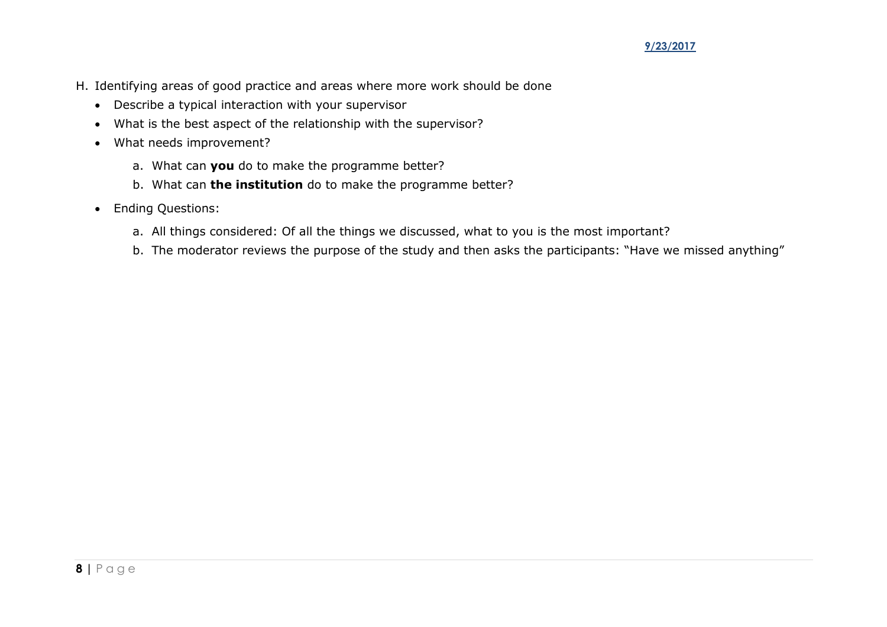- H. Identifying areas of good practice and areas where more work should be done
	- Describe a typical interaction with your supervisor
	- What is the best aspect of the relationship with the supervisor?
	- What needs improvement?
		- a. What can **you** do to make the programme better?
		- b. What can **the institution** do to make the programme better?
	- Ending Questions:
		- a. All things considered: Of all the things we discussed, what to you is the most important?
		- b. The moderator reviews the purpose of the study and then asks the participants: "Have we missed anything"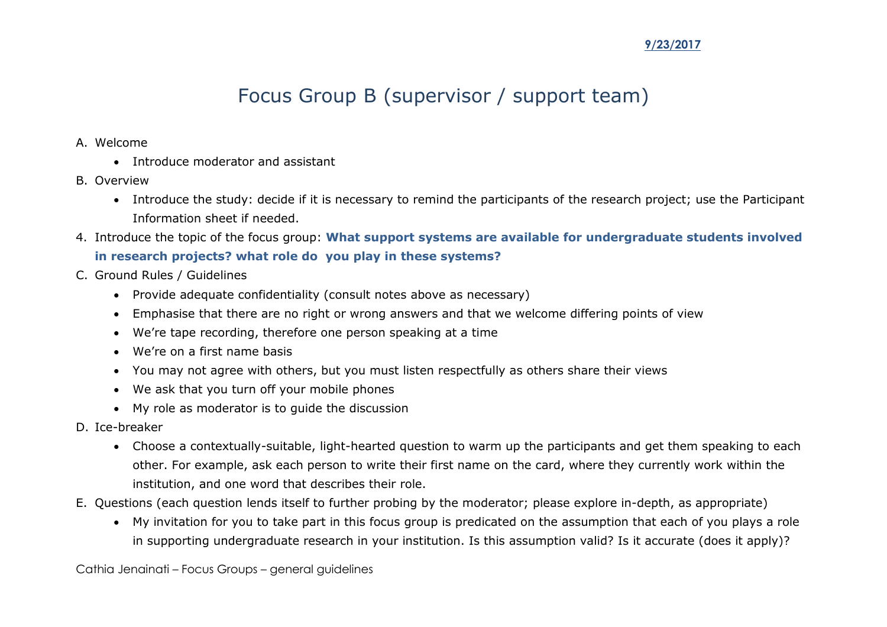# Focus Group B (supervisor / support team)

- A. Welcome
	- Introduce moderator and assistant
- B. Overview
	- Introduce the study: decide if it is necessary to remind the participants of the research project; use the Participant Information sheet if needed.
- 4. Introduce the topic of the focus group: **What support systems are available for undergraduate students involved in research projects? what role do you play in these systems?**
- C. Ground Rules / Guidelines
	- Provide adequate confidentiality (consult notes above as necessary)
	- Emphasise that there are no right or wrong answers and that we welcome differing points of view
	- We're tape recording, therefore one person speaking at a time
	- We're on a first name basis
	- You may not agree with others, but you must listen respectfully as others share their views
	- We ask that you turn off your mobile phones
	- My role as moderator is to guide the discussion
- D. Ice-breaker
	- Choose a contextually-suitable, light-hearted question to warm up the participants and get them speaking to each other. For example, ask each person to write their first name on the card, where they currently work within the institution, and one word that describes their role.
- E. Questions (each question lends itself to further probing by the moderator; please explore in-depth, as appropriate)
	- My invitation for you to take part in this focus group is predicated on the assumption that each of you plays a role in supporting undergraduate research in your institution. Is this assumption valid? Is it accurate (does it apply)?

Cathia Jenainati – Focus Groups – general guidelines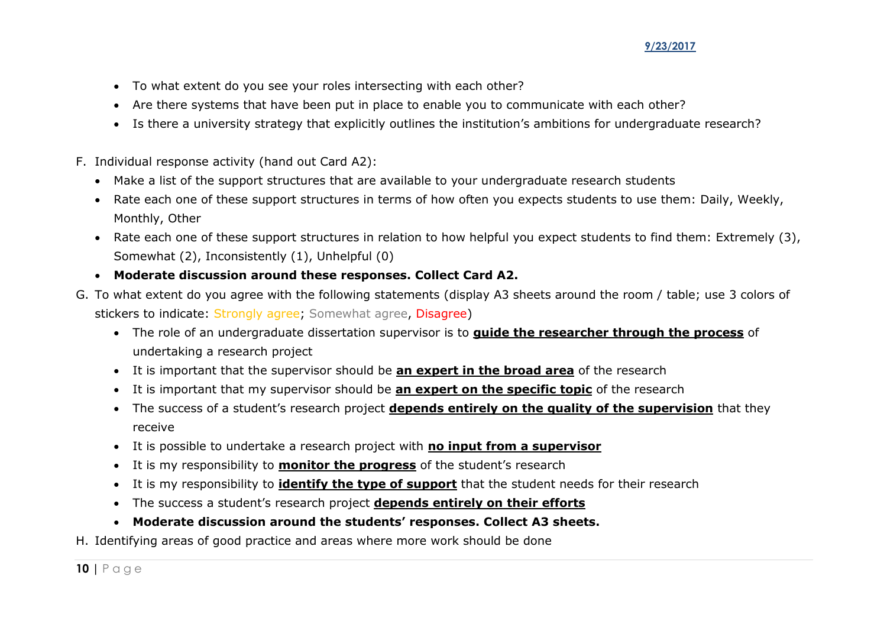- To what extent do you see your roles intersecting with each other?
- Are there systems that have been put in place to enable you to communicate with each other?
- Is there a university strategy that explicitly outlines the institution's ambitions for undergraduate research?
- F. Individual response activity (hand out Card A2):
	- Make a list of the support structures that are available to your undergraduate research students
	- Rate each one of these support structures in terms of how often you expects students to use them: Daily, Weekly, Monthly, Other
	- Rate each one of these support structures in relation to how helpful you expect students to find them: Extremely (3), Somewhat (2), Inconsistently (1), Unhelpful (0)
	- **Moderate discussion around these responses. Collect Card A2.**
- G. To what extent do you agree with the following statements (display A3 sheets around the room / table; use 3 colors of stickers to indicate: Strongly agree; Somewhat agree, Disagree)
	- The role of an undergraduate dissertation supervisor is to **guide the researcher through the process** of undertaking a research project
	- It is important that the supervisor should be **an expert in the broad area** of the research
	- It is important that my supervisor should be **an expert on the specific topic** of the research
	- The success of a student's research project **depends entirely on the quality of the supervision** that they receive
	- It is possible to undertake a research project with **no input from a supervisor**
	- It is my responsibility to **monitor the progress** of the student's research
	- It is my responsibility to **identify the type of support** that the student needs for their research
	- The success a student's research project **depends entirely on their efforts**
	- **Moderate discussion around the students' responses. Collect A3 sheets.**
- H. Identifying areas of good practice and areas where more work should be done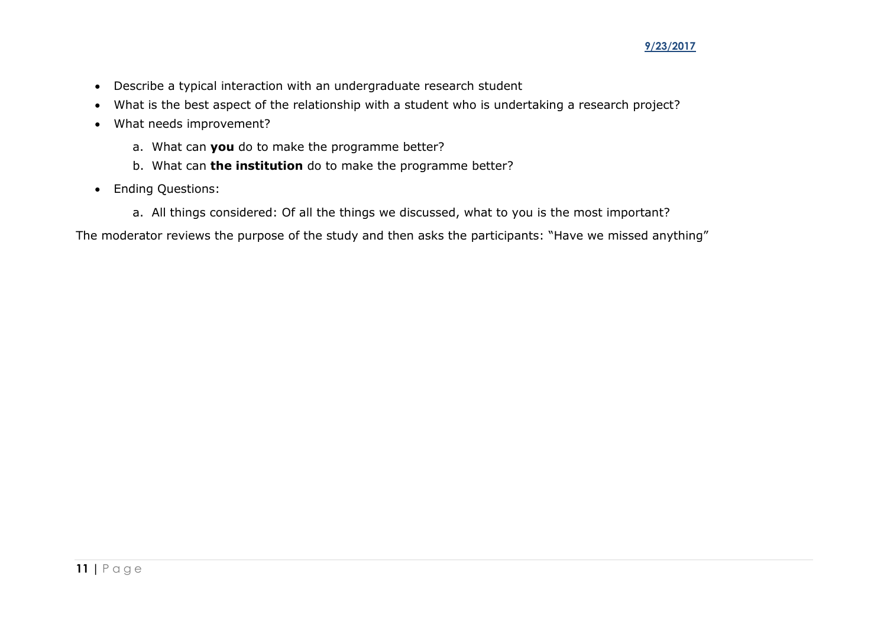- Describe a typical interaction with an undergraduate research student
- What is the best aspect of the relationship with a student who is undertaking a research project?
- What needs improvement?
	- a. What can **you** do to make the programme better?
	- b. What can **the institution** do to make the programme better?
- Ending Questions:
	- a. All things considered: Of all the things we discussed, what to you is the most important?

The moderator reviews the purpose of the study and then asks the participants: "Have we missed anything"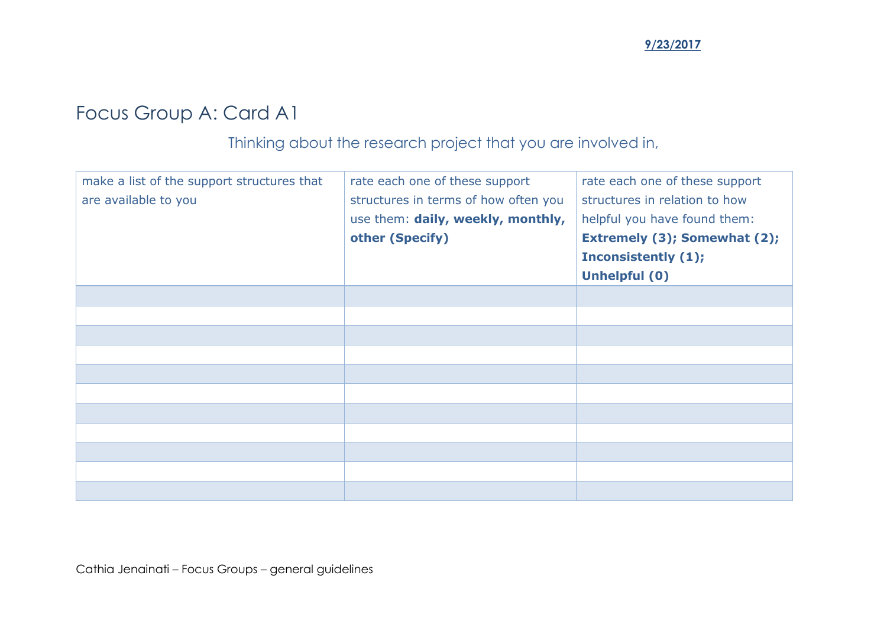# Focus Group A: Card A1

### Thinking about the research project that you are involved in,

| make a list of the support structures that<br>are available to you | rate each one of these support<br>structures in terms of how often you<br>use them: daily, weekly, monthly,<br>other (Specify) | rate each one of these support<br>structures in relation to how<br>helpful you have found them:<br>Extremely (3); Somewhat (2);<br>Inconsistently (1);<br><b>Unhelpful (0)</b> |
|--------------------------------------------------------------------|--------------------------------------------------------------------------------------------------------------------------------|--------------------------------------------------------------------------------------------------------------------------------------------------------------------------------|
|                                                                    |                                                                                                                                |                                                                                                                                                                                |
|                                                                    |                                                                                                                                |                                                                                                                                                                                |
|                                                                    |                                                                                                                                |                                                                                                                                                                                |
|                                                                    |                                                                                                                                |                                                                                                                                                                                |
|                                                                    |                                                                                                                                |                                                                                                                                                                                |
|                                                                    |                                                                                                                                |                                                                                                                                                                                |
|                                                                    |                                                                                                                                |                                                                                                                                                                                |
|                                                                    |                                                                                                                                |                                                                                                                                                                                |
|                                                                    |                                                                                                                                |                                                                                                                                                                                |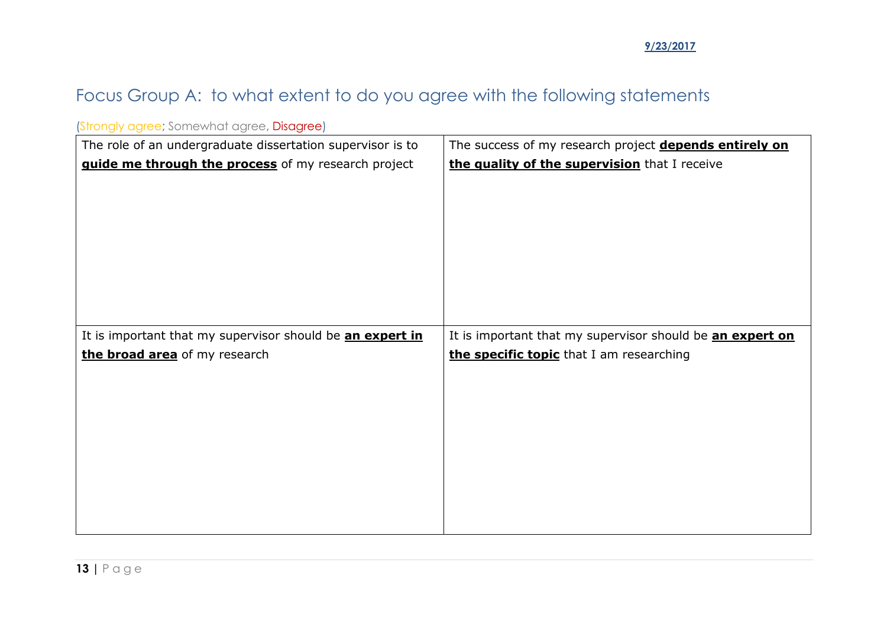## Focus Group A: to what extent to do you agree with the following statements

| <u>prorigly agree, somewhat agree, <b>Disagree</b>)</u>    |                                                           |
|------------------------------------------------------------|-----------------------------------------------------------|
| The role of an undergraduate dissertation supervisor is to | The success of my research project depends entirely on    |
| guide me through the process of my research project        | the quality of the supervision that I receive             |
|                                                            |                                                           |
|                                                            |                                                           |
|                                                            |                                                           |
|                                                            |                                                           |
|                                                            |                                                           |
|                                                            |                                                           |
|                                                            |                                                           |
| It is important that my supervisor should be an expert in  | It is important that my supervisor should be an expert on |
| the broad area of my research                              | the specific topic that I am researching                  |
|                                                            |                                                           |
|                                                            |                                                           |
|                                                            |                                                           |
|                                                            |                                                           |
|                                                            |                                                           |
|                                                            |                                                           |
|                                                            |                                                           |
|                                                            |                                                           |
|                                                            |                                                           |

(Strongly agree: Somewhat agree, Disagree)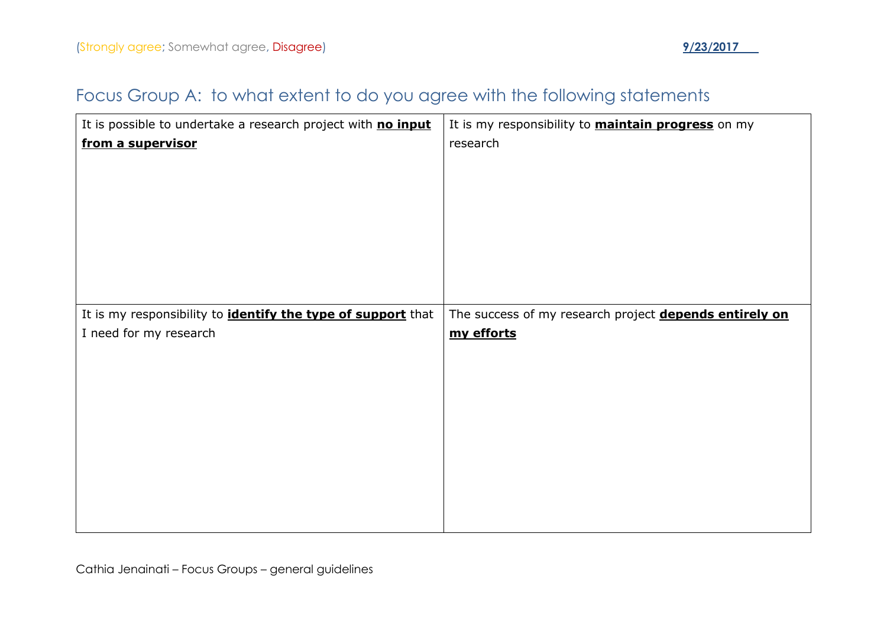## Focus Group A: to what extent to do you agree with the following statements

| It is possible to undertake a research project with no input        | It is my responsibility to <b>maintain progress</b> on my |
|---------------------------------------------------------------------|-----------------------------------------------------------|
| from a supervisor                                                   | research                                                  |
|                                                                     |                                                           |
|                                                                     |                                                           |
|                                                                     |                                                           |
|                                                                     |                                                           |
|                                                                     |                                                           |
|                                                                     |                                                           |
| It is my responsibility to <i>identify the type of support</i> that | The success of my research project depends entirely on    |
| I need for my research                                              | my efforts                                                |
|                                                                     |                                                           |
|                                                                     |                                                           |
|                                                                     |                                                           |
|                                                                     |                                                           |
|                                                                     |                                                           |
|                                                                     |                                                           |
|                                                                     |                                                           |
|                                                                     |                                                           |
|                                                                     |                                                           |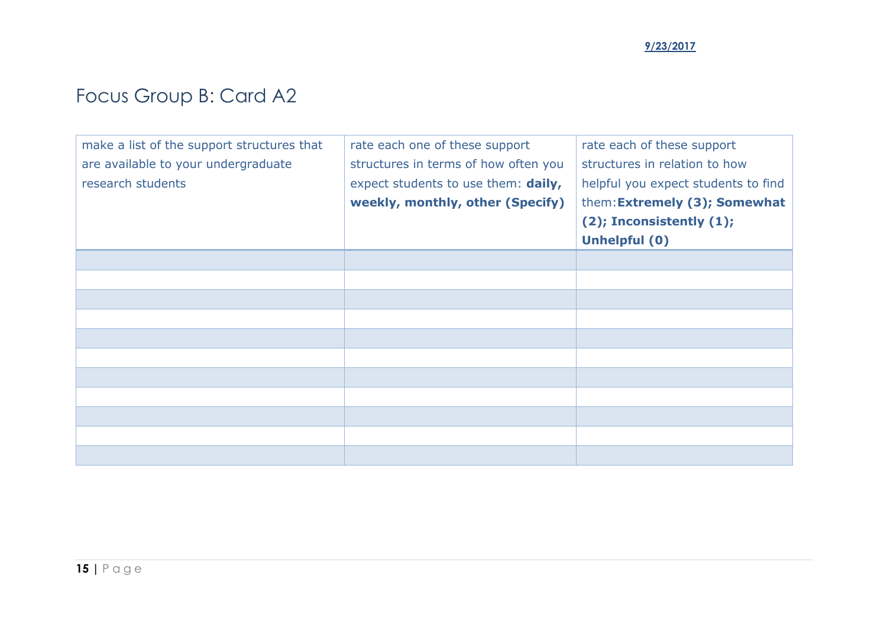# Focus Group B: Card A2

| make a list of the support structures that | rate each one of these support       | rate each of these support          |
|--------------------------------------------|--------------------------------------|-------------------------------------|
| are available to your undergraduate        | structures in terms of how often you | structures in relation to how       |
| research students                          | expect students to use them: daily,  | helpful you expect students to find |
|                                            | weekly, monthly, other (Specify)     | them: Extremely (3); Somewhat       |
|                                            |                                      | $(2)$ ; Inconsistently $(1)$ ;      |
|                                            |                                      | Unhelpful (0)                       |
|                                            |                                      |                                     |
|                                            |                                      |                                     |
|                                            |                                      |                                     |
|                                            |                                      |                                     |
|                                            |                                      |                                     |
|                                            |                                      |                                     |
|                                            |                                      |                                     |
|                                            |                                      |                                     |
|                                            |                                      |                                     |
|                                            |                                      |                                     |
|                                            |                                      |                                     |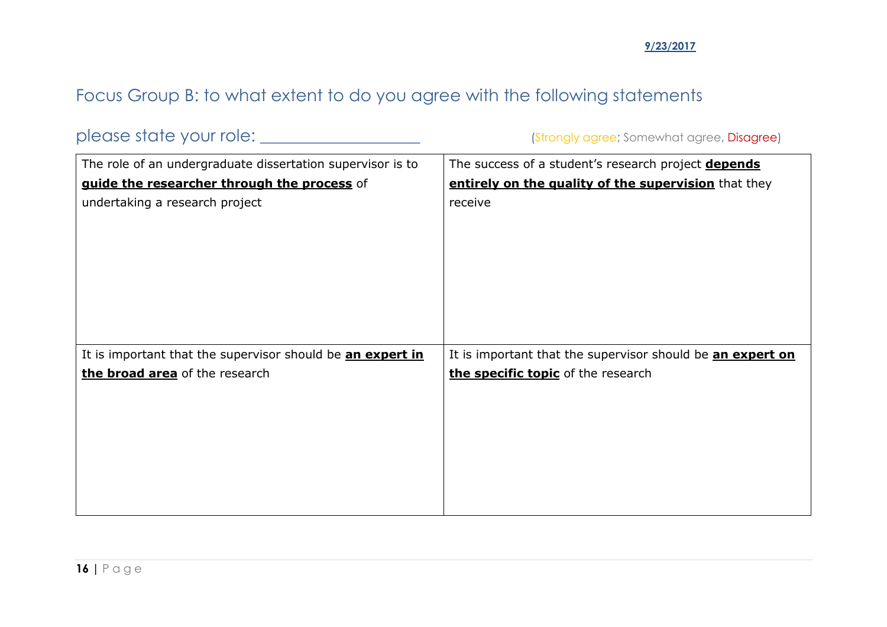## Focus Group B: to what extent to do you agree with the following statements

please state your role: \_\_\_\_\_\_\_\_\_\_\_\_\_\_\_\_\_\_\_ (Strongly agree; Somewhat agree, Disagree)

| The role of an undergraduate dissertation supervisor is to | The success of a student's research project <b>depends</b> |  |
|------------------------------------------------------------|------------------------------------------------------------|--|
| guide the researcher through the process of                | entirely on the quality of the supervision that they       |  |
| undertaking a research project                             | receive                                                    |  |
|                                                            |                                                            |  |
|                                                            |                                                            |  |
|                                                            |                                                            |  |
|                                                            |                                                            |  |
|                                                            |                                                            |  |
|                                                            |                                                            |  |
|                                                            |                                                            |  |
| It is important that the supervisor should be an expert in | It is important that the supervisor should be an expert on |  |
| the broad area of the research                             | the specific topic of the research                         |  |
|                                                            |                                                            |  |
|                                                            |                                                            |  |
|                                                            |                                                            |  |
|                                                            |                                                            |  |
|                                                            |                                                            |  |
|                                                            |                                                            |  |